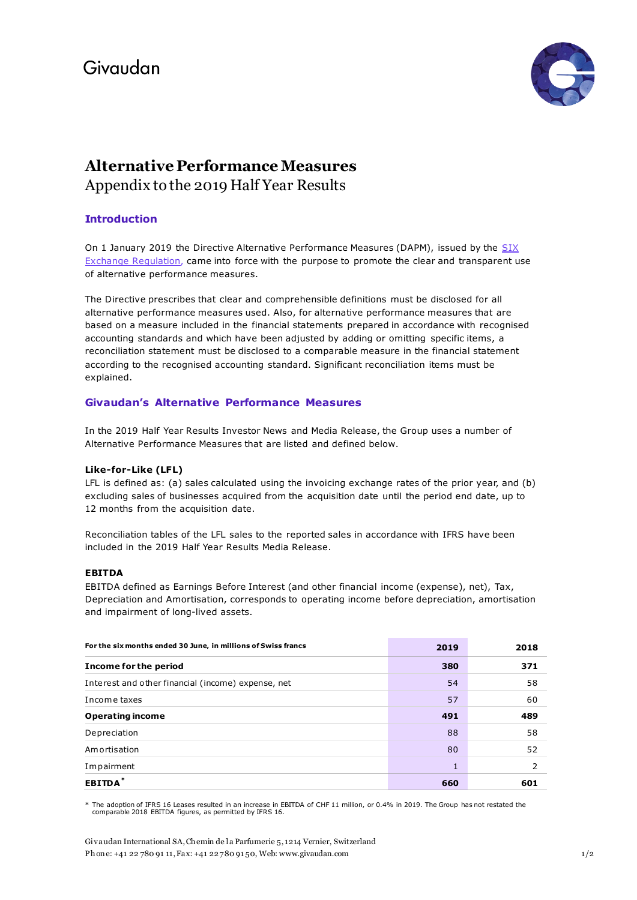

# **Alternative Performance Measures** Appendix to the 2019 Half Year Results

## **Introduction**

On 1 January 2019 the Directive Alternative Performance Measures (DAPM), issued by the SIX [Exchange Regulation,](https://www.six-exchange-regulation.com/dam/downloads/regulation/admission-manual/directives/DAPM_en.pdf) came into force with the purpose to promote the clear and transparent use of alternative performance measures.

The Directive prescribes that clear and comprehensible definitions must be disclosed for all alternative performance measures used. Also, for alternative performance measures that are based on a measure included in the financial statements prepared in accordance with recognised accounting standards and which have been adjusted by adding or omitting specific items, a reconciliation statement must be disclosed to a comparable measure in the financial statement according to the recognised accounting standard. Significant reconciliation items must be explained.

### **Givaudan's Alternative Performance Measures**

In the 2019 Half Year Results Investor News and Media Release, the Group uses a number of Alternative Performance Measures that are listed and defined below.

#### **Like-for-Like (LFL)**

LFL is defined as: (a) sales calculated using the invoicing exchange rates of the prior year, and (b) excluding sales of businesses acquired from the acquisition date until the period end date, up to 12 months from the acquisition date.

Reconciliation tables of the LFL sales to the reported sales in accordance with IFRS have been included in the 2019 Half Year Results Media Release.

#### **EBITDA**

EBITDA defined as Earnings Before Interest (and other financial income (expense), net), Tax, Depreciation and Amortisation, corresponds to operating income before depreciation, amortisation and impairment of long-lived assets.

| For the six months ended 30 June, in millions of Swiss francs | 2019 | 2018          |
|---------------------------------------------------------------|------|---------------|
| Income for the period                                         | 380  | 371           |
| Interest and other financial (income) expense, net            | 54   | 58            |
| Income taxes                                                  | 57   | 60            |
| <b>Operating income</b>                                       | 491  | 489           |
| Depreciation                                                  | 88   | 58            |
| Amortisation                                                  | 80   | 52            |
| Impairment                                                    | 1    | $\mathcal{P}$ |
| <b>EBITDA</b>                                                 | 660  | 601           |

The adoption of IFRS 16 Leases resulted in an increase in EBITDA of CHF 11 million, or 0.4% in 2019. The Group has not restated the comparable 2018 EBITDA figures, as permitted by IFRS 16.

Givaudan International SA, Chemin de la Parfumerie 5, 1214 Vernier, Switzerland Phone: +41 22 780 91 11, Fax: +41 22 780 91 50, We[b: www.givaudan.com](http://www.givaudan.com/) 1/2